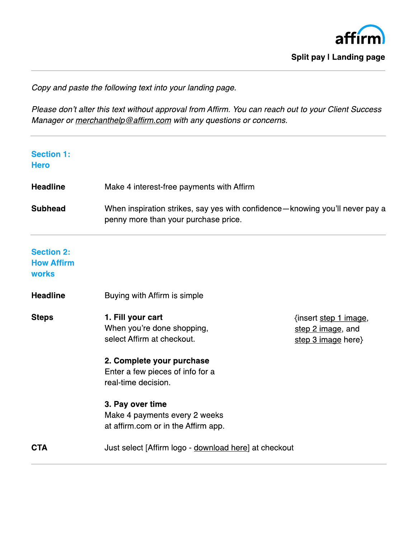

Split pay I Landing page

Copy and paste the following text into your landing page.

Please don't alter this text without approval from Affirm. You can reach out to your Client Success Manager or [merchanthelp@affirm.com](mailto:merchanthelp@affirm.com) with any questions or concerns.

| <b>Section 1:</b><br><b>Hero</b>                       |                                                                                                                                                                       |                                                                  |
|--------------------------------------------------------|-----------------------------------------------------------------------------------------------------------------------------------------------------------------------|------------------------------------------------------------------|
| <b>Headline</b>                                        | Make 4 interest-free payments with Affirm                                                                                                                             |                                                                  |
| <b>Subhead</b>                                         | When inspiration strikes, say yes with confidence-knowing you'll never pay a<br>penny more than your purchase price.                                                  |                                                                  |
| <b>Section 2:</b><br><b>How Affirm</b><br><b>works</b> |                                                                                                                                                                       |                                                                  |
| <b>Headline</b>                                        | Buying with Affirm is simple                                                                                                                                          |                                                                  |
| <b>Steps</b>                                           | 1. Fill your cart<br>When you're done shopping,<br>select Affirm at checkout.<br>2. Complete your purchase<br>Enter a few pieces of info for a<br>real-time decision. | {insert step 1 image,<br>step 2 image, and<br>step 3 image here} |
|                                                        | 3. Pay over time<br>Make 4 payments every 2 weeks<br>at affirm.com or in the Affirm app.                                                                              |                                                                  |
| <b>CTA</b>                                             | Just select [Affirm logo - download here] at checkout                                                                                                                 |                                                                  |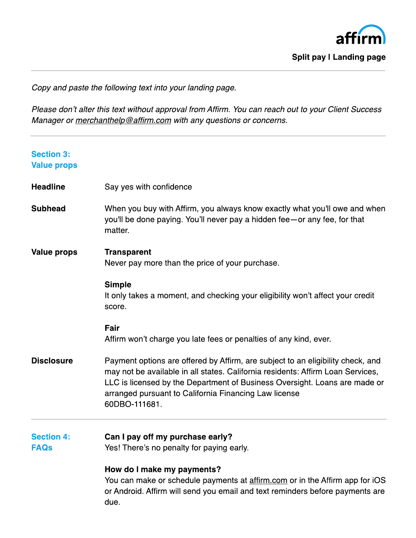

Split pay I Landing page

Copy and paste the following text into your landing page.

Please don't alter this text without approval from Affirm. You can reach out to your Client Success Manager or [merchanthelp@affirm.com](mailto:merchanthelp@affirm.com) with any questions or concerns.

| <b>Section 3:</b><br><b>Value props</b> |                                                                                                                                                                                                                                                                                                                            |  |
|-----------------------------------------|----------------------------------------------------------------------------------------------------------------------------------------------------------------------------------------------------------------------------------------------------------------------------------------------------------------------------|--|
| <b>Headline</b>                         | Say yes with confidence                                                                                                                                                                                                                                                                                                    |  |
| <b>Subhead</b>                          | When you buy with Affirm, you always know exactly what you'll owe and when<br>you'll be done paying. You'll never pay a hidden fee-or any fee, for that<br>matter.                                                                                                                                                         |  |
| <b>Value props</b>                      | <b>Transparent</b><br>Never pay more than the price of your purchase.                                                                                                                                                                                                                                                      |  |
|                                         | <b>Simple</b><br>It only takes a moment, and checking your eligibility won't affect your credit<br>score.                                                                                                                                                                                                                  |  |
|                                         | Fair<br>Affirm won't charge you late fees or penalties of any kind, ever.                                                                                                                                                                                                                                                  |  |
| <b>Disclosure</b>                       | Payment options are offered by Affirm, are subject to an eligibility check, and<br>may not be available in all states. California residents: Affirm Loan Services,<br>LLC is licensed by the Department of Business Oversight. Loans are made or<br>arranged pursuant to California Financing Law license<br>60DBO-111681. |  |
| <b>Section 4:</b><br><b>FAQs</b>        | Can I pay off my purchase early?<br>Yes! There's no penalty for paying early.                                                                                                                                                                                                                                              |  |
|                                         | How do I make my payments?<br>You can make or schedule payments at affirm.com or in the Affirm app for iOS<br>or Android. Affirm will send you email and text reminders before payments are<br>due.                                                                                                                        |  |